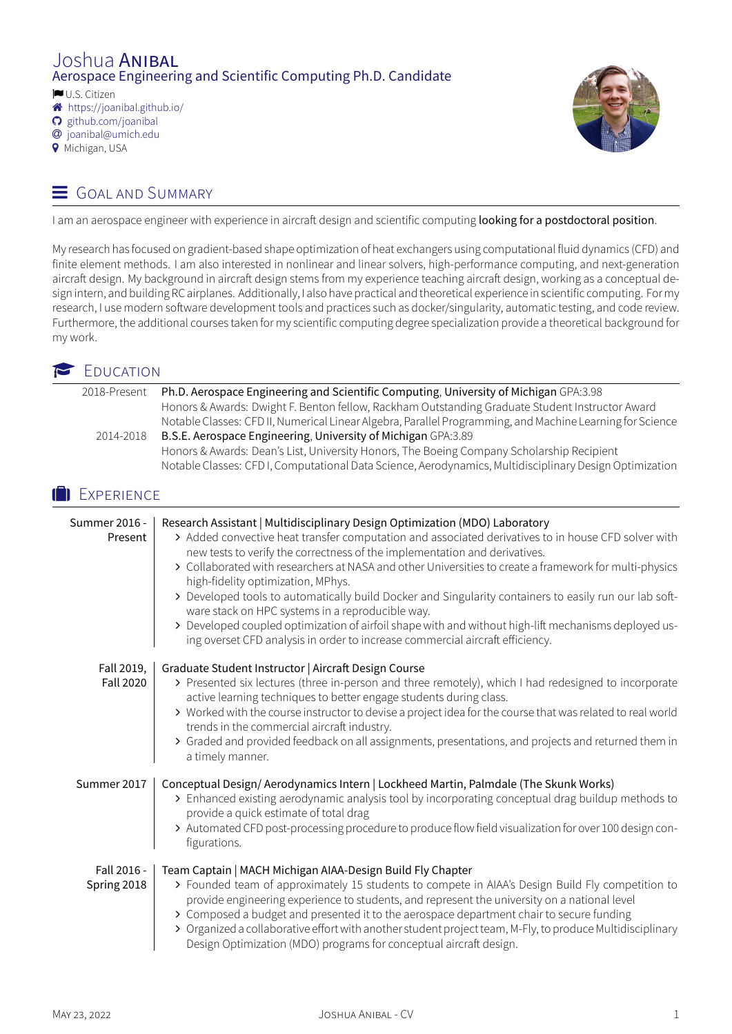# Joshua ANIBAL Aerospace Engineering and Scientific Computing Ph.D. Candidate

� U.S. Citizen

- � <https://joanibal.github.io/>
- � [github.com/joanibal](https://www.github.com/joanibal)
- � [joanibal@umich.edu](mailto:joanibal@umich.edu)
- � Michigan, USA

# $\equiv$  GOAL AND SUMMARY



I am an aerospace engineer with experience in aircraft design and scientific computing looking for a postdoctoral position.

My research has focused on gradient-based shape optimization of heat exchangers using computational fluid dynamics (CFD) and finite element methods. I am also interested in nonlinear and linear solvers, high-performance computing, and next-generation aircraft design. My background in aircraft design stems from my experience teaching aircraft design, working as a conceptual design intern, and building RC airplanes. Additionally, I also have practical and theoretical experience in scientific computing. For my research, I use modern software development tools and practices such as docker/singularity, automatic testing, and code review. Furthermore, the additional courses taken for my scientific computing degree specialization provide a theoretical background for my work.

## **EDUCATION**

| 2018-Present | Ph.D. Aerospace Engineering and Scientific Computing, University of Michigan GPA:3.98                     |
|--------------|-----------------------------------------------------------------------------------------------------------|
|              | Honors & Awards: Dwight F. Benton fellow, Rackham Outstanding Graduate Student Instructor Award           |
|              | Notable Classes: CFD II, Numerical Linear Algebra, Parallel Programming, and Machine Learning for Science |
| 2014-2018    | B.S.E. Aerospace Engineering, University of Michigan GPA:3.89                                             |
|              | Honors & Awards: Dean's List, University Honors, The Boeing Company Scholarship Recipient                 |
|              | Notable Classes: CFD I, Computational Data Science, Aerodynamics, Multidisciplinary Design Optimization   |

## **IN EXPERIENCE**

| Summer 2016 -<br>Present       | Research Assistant   Multidisciplinary Design Optimization (MDO) Laboratory<br>> Added convective heat transfer computation and associated derivatives to in house CFD solver with<br>new tests to verify the correctness of the implementation and derivatives.<br>> Collaborated with researchers at NASA and other Universities to create a framework for multi-physics<br>high-fidelity optimization, MPhys.<br>> Developed tools to automatically build Docker and Singularity containers to easily run our lab soft-<br>ware stack on HPC systems in a reproducible way.<br>> Developed coupled optimization of airfoil shape with and without high-lift mechanisms deployed us-<br>ing overset CFD analysis in order to increase commercial aircraft efficiency. |
|--------------------------------|-------------------------------------------------------------------------------------------------------------------------------------------------------------------------------------------------------------------------------------------------------------------------------------------------------------------------------------------------------------------------------------------------------------------------------------------------------------------------------------------------------------------------------------------------------------------------------------------------------------------------------------------------------------------------------------------------------------------------------------------------------------------------|
| Fall 2019,<br><b>Fall 2020</b> | Graduate Student Instructor   Aircraft Design Course<br>> Presented six lectures (three in-person and three remotely), which I had redesigned to incorporate<br>active learning techniques to better engage students during class.<br>> Worked with the course instructor to devise a project idea for the course that was related to real world<br>trends in the commercial aircraft industry.<br>> Graded and provided feedback on all assignments, presentations, and projects and returned them in<br>a timely manner.                                                                                                                                                                                                                                              |
| Summer 2017                    | Conceptual Design/Aerodynamics Intern   Lockheed Martin, Palmdale (The Skunk Works)<br>> Enhanced existing aerodynamic analysis tool by incorporating conceptual drag buildup methods to<br>provide a quick estimate of total drag<br>> Automated CFD post-processing procedure to produce flow field visualization for over 100 design con-<br>figurations.                                                                                                                                                                                                                                                                                                                                                                                                            |
| Fall 2016 -<br>Spring 2018     | Team Captain   MACH Michigan AIAA-Design Build Fly Chapter<br>> Founded team of approximately 15 students to compete in AIAA's Design Build Fly competition to<br>provide engineering experience to students, and represent the university on a national level<br>> Composed a budget and presented it to the aerospace department chair to secure funding<br>> Organized a collaborative effort with another student project team, M-Fly, to produce Multidisciplinary<br>Design Optimization (MDO) programs for conceptual aircraft design.                                                                                                                                                                                                                           |